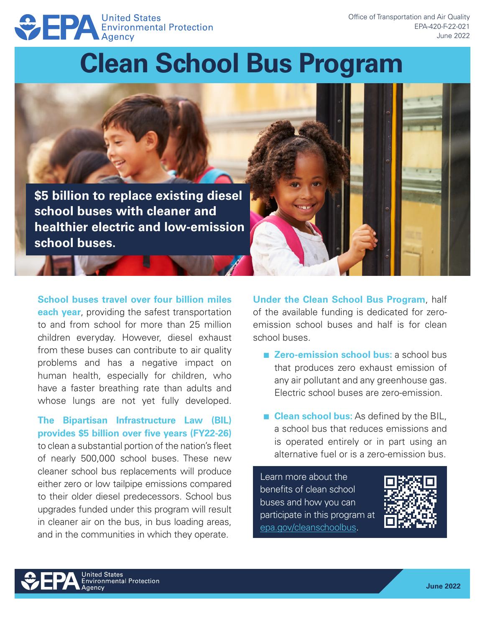# **EPA United States**<br>Environmental Protection

## **Clean School Bus Program**

**\$5 billion to replace existing diesel school buses with cleaner and healthier electric and low-emission school buses.**

**School buses travel over four billion miles** 

**each year**, providing the safest transportation to and from school for more than 25 million children everyday. However, diesel exhaust from these buses can contribute to air quality problems and has a negative impact on human health, especially for children, who have a faster breathing rate than adults and whose lungs are not yet fully developed.

#### **The Bipartisan Infrastructure Law (BIL) provides \$5 billion over five years (FY22-26)**

to clean a substantial portion of the nation's fleet of nearly 500,000 school buses. These new cleaner school bus replacements will produce either zero or low tailpipe emissions compared to their older diesel predecessors. School bus upgrades funded under this program will result in cleaner air on the bus, in bus loading areas, and in the communities in which they operate.

**Under the Clean School Bus Program**, half of the available funding is dedicated for zeroemission school buses and half is for clean school buses.

- **Zero-emission school bus: a school bus** that produces zero exhaust emission of any air pollutant and any greenhouse gas. Electric school buses are zero-emission.
- **Clean school bus:** As defined by the BIL, a school bus that reduces emissions and is operated entirely or in part using an alternative fuel or is a zero-emission bus.
- Learn more about the benefits of clean school buses and how you can participate in this program at [epa.gov/cleanschoolbus.](http://epa.gov/cleanschoolbus)